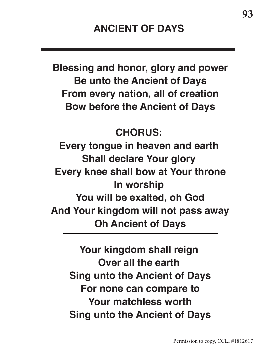**Blessing and honor, glory and power Be unto the Ancient of Days From every nation, all of creation Bow before the Ancient of Days**

## **CHORUS:**

**Every tongue in heaven and earth Shall declare Your glory Every knee shall bow at Your throne In worship You will be exalted, oh God And Your kingdom will not pass away Oh Ancient of Days**

**Your kingdom shall reign Over all the earth Sing unto the Ancient of Days For none can compare to Your matchless worth Sing unto the Ancient of Days**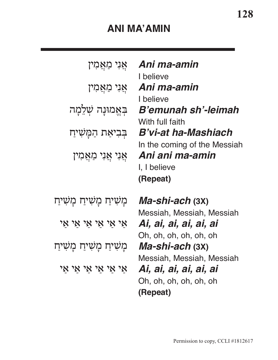## **ANI MA'AMIN**

| אַנִי מַאֲמִין             | Ani ma-amin<br>I believe                                     |
|----------------------------|--------------------------------------------------------------|
| אַנִי מַאֲמִין             | Ani ma-amin<br>I believe                                     |
| בְאֱמוּנָה שִׁלֵמַה        | B'emunah sh'-leimah<br>With full faith                       |
| בִּבִיאַת הַמַּשִׁיחַ      | B'vi-at ha-Mashiach<br>In the coming of the Messiah          |
| אֲנִי אֲנִי מַאֲמִין       | Ani ani ma-amin<br>I, I believe<br>(Repeat)                  |
| מָשִׁיחַ מָשִׁיחַ מָשִׁיחַ | <i>Ma-shi-ach</i> (3X)<br>Messiah, Messiah, Messiah          |
| אי אי אי אי אי             | Ai, ai, ai, ai, ai, ai<br>Oh, oh, oh, oh, oh, oh             |
| מָשִׁיחַ מָשִׁיחַ מָשִׁיחַ | <i>Ma-shi-ach</i> (3X)<br>Messiah, Messiah, Messiah          |
| אי אי אי אי אי             | Ai, ai, ai, ai, ai, ai<br>Oh, oh, oh, oh, oh, oh<br>(Repeat) |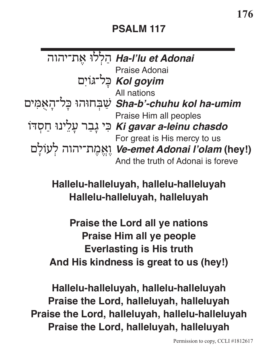## **PSALM 117**

| Ha-I'lu et Adonai הַלְלוּ אֶת־יהוה                 |
|----------------------------------------------------|
| Praise Adonai                                      |
| Kol goyim בְּלֹ־גּוֹיִם                            |
| <b>All nations</b>                                 |
| שׁבְּחוּהוּ כַּל־הָאָמִים Sha-b'-chuhu kol ha-umim |
| Praise Him all peoples                             |
| יִ נִבְר עַלֵינוּ חַסְדוֹ Ki gavar a-leinu chasdo  |
| For great is His mercy to us                       |
| וֹאֲמֵת־יהוה לְעוֹלַם Ve-emet Adonai l'olam (hey!) |
| And the truth of Adonai is foreve                  |
|                                                    |

**Hallelu-halleluyah, hallelu-halleluyah Hallelu-halleluyah, halleluyah**

**Praise the Lord all ye nations Praise Him all ye people Everlasting is His truth And His kindness is great to us (hey!)**

**Hallelu-halleluyah, hallelu-halleluyah Praise the Lord, halleluyah, halleluyah Praise the Lord, halleluyah, hallelu-halleluyah Praise the Lord, halleluyah, halleluyah**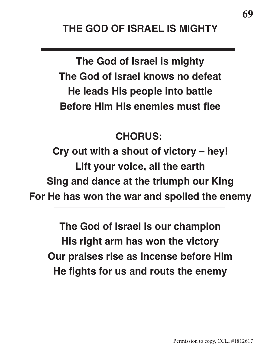**The God of Israel is mighty The God of Israel knows no defeat He leads His people into battle Before Him His enemies must flee** 

**CHORUS:**

 **Cry out with a shout of victory – hey! Lift your voice, all the earth Sing and dance at the triumph our King For He has won the war and spoiled the enemy**

 **The God of Israel is our champion His right arm has won the victory Our praises rise as incense before Him He fghts for us and routs the enemy**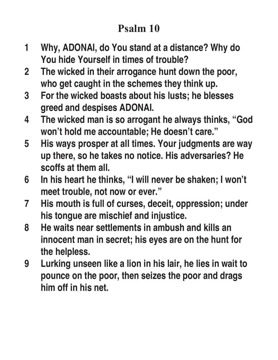## **Psalm 10**

- **1 Why, ADONAI, do You stand at a distance? Why do You hide Yourself in times of trouble?**
- **2 The wicked in their arrogance hunt down the poor, who get caught in the schemes they think up.**
- **3 For the wicked boasts about his lusts; he blesses greed and despises ADONAI.**
- **4 The wicked man is so arrogant he always thinks, "God won't hold me accountable; He doesn't care."**
- **5 His ways prosper at all times. Your judgments are way up there, so he takes no notice. His adversaries? He scoffs at them all.**
- **6 In his heart he thinks, "I will never be shaken; I won't meet trouble, not now or ever."**
- **7 His mouth is full of curses, deceit, oppression; under his tongue are mischief and injustice.**
- **8 He waits near settlements in ambush and kills an innocent man in secret; his eyes are on the hunt for the helpless.**
- **9 Lurking unseen like a lion in his lair, he lies in wait to pounce on the poor, then seizes the poor and drags him off in his net.**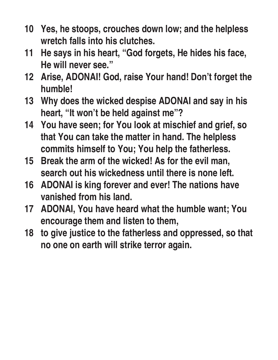- **10 Yes, he stoops, crouches down low; and the helpless wretch falls into his clutches.**
- **11 He says in his heart, "God forgets, He hides his face, He will never see."**
- **12 Arise, ADONAI! God, raise Your hand! Don't forget the humble!**
- **13 Why does the wicked despise ADONAI and say in his heart, "It won't be held against me"?**
- **14 You have seen; for You look at mischief and grief, so that You can take the matter in hand. The helpless commits himself to You; You help the fatherless.**
- **15 Break the arm of the wicked! As for the evil man, search out his wickedness until there is none left.**
- **16 ADONAI is king forever and ever! The nations have vanished from his land.**
- **17 ADONAI, You have heard what the humble want; You encourage them and listen to them,**
- **18 to give justice to the fatherless and oppressed, so that no one on earth will strike terror again.**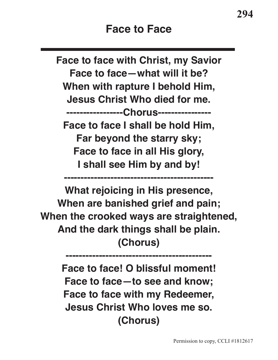**Face to face with Christ, my Savior Face to face—what will it be? When with rapture I behold Him, Jesus Christ Who died for me. -----------------Chorus---------------- Face to face I shall be hold Him, Far beyond the starry sky; Face to face in all His glory, I shall see Him by and by!**

**What rejoicing in His presence, When are banished grief and pain; When the crooked ways are straightened, And the dark things shall be plain. (Chorus)**

**--------------------------------------------**

**---------------------------------------------**

**Face to face! O blissful moment! Face to face—to see and know; Face to face with my Redeemer, Jesus Christ Who loves me so. (Chorus)**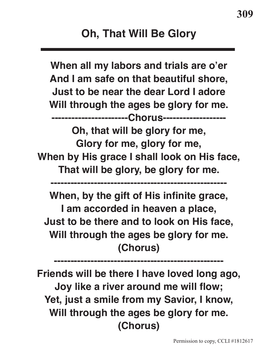**When all my labors and trials are o'er And I am safe on that beautiful shore, Just to be near the dear Lord I adore Will through the ages be glory for me.**

**-----------------------Chorus-------------------**

**Oh, that will be glory for me, Glory for me, glory for me, When by His grace I shall look on His face, That will be glory, be glory for me.**

**-----------------------------------------------------**

**When, by the gift of His infinite grace, I am accorded in heaven a place, Just to be there and to look on His face, Will through the ages be glory for me. (Chorus)**

**Friends will be there I have loved long ago, Joy like a river around me will flow; Yet, just a smile from my Savior, I know, Will through the ages be glory for me. (Chorus)**

**---------------------------------------------------**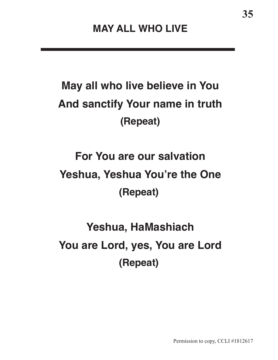# **May all who live believe in You And sanctify Your name in truth (Repeat)**

# **For You are our salvation Yeshua, Yeshua You're the One (Repeat)**

# **Yeshua, HaMashiach You are Lord, yes, You are Lord (Repeat)**